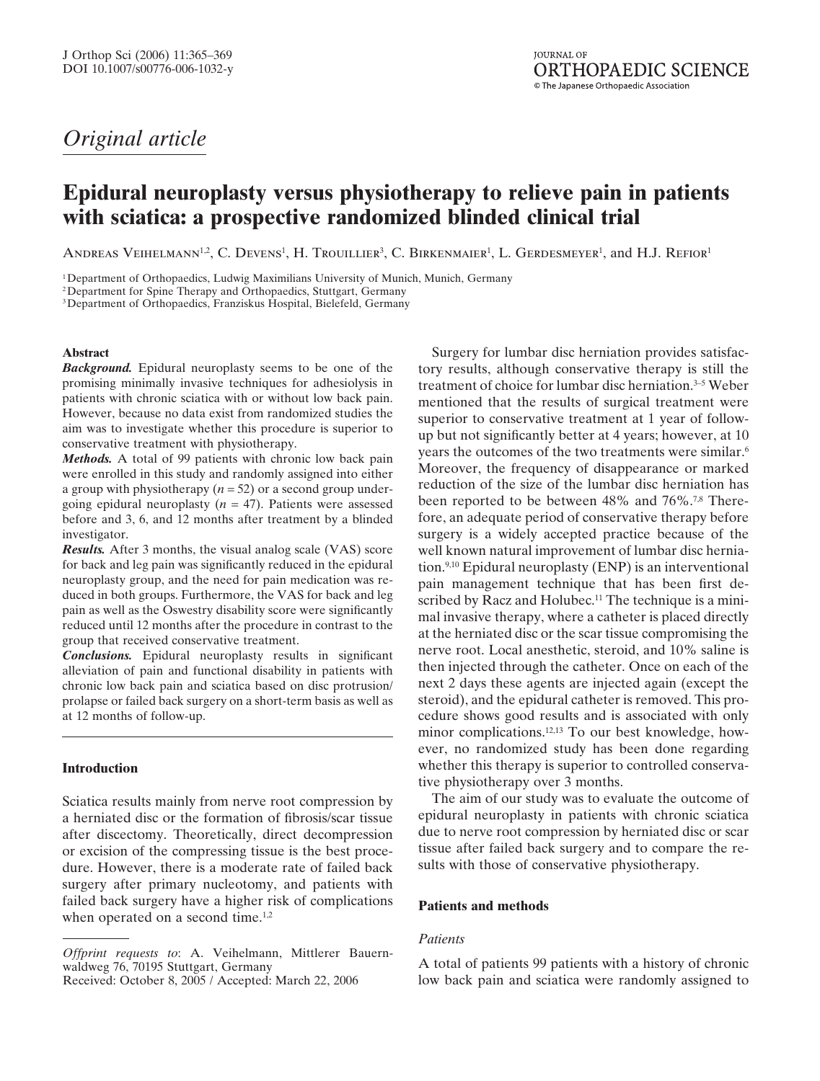# *Original article*

# **Epidural neuroplasty versus physiotherapy to relieve pain in patients with sciatica: a prospective randomized blinded clinical trial**

 $\rm Andr$ ras Veihelmann<sup>1,2</sup>, C. Devens<sup>1</sup>, H. Trouillier<sup>3</sup>, C. Birkenmaier<sup>1</sup>, L. Gerdesmeyer<sup>1</sup>, and H.J. Refior<sup>1</sup>

1Department of Orthopaedics, Ludwig Maximilians University of Munich, Munich, Germany

2Department for Spine Therapy and Orthopaedics, Stuttgart, Germany

3Department of Orthopaedics, Franziskus Hospital, Bielefeld, Germany

# **Abstract**

*Background.* Epidural neuroplasty seems to be one of the promising minimally invasive techniques for adhesiolysis in patients with chronic sciatica with or without low back pain. However, because no data exist from randomized studies the aim was to investigate whether this procedure is superior to conservative treatment with physiotherapy.

*Methods.* A total of 99 patients with chronic low back pain were enrolled in this study and randomly assigned into either a group with physiotherapy (*n* = 52) or a second group undergoing epidural neuroplasty  $(n = 47)$ . Patients were assessed before and 3, 6, and 12 months after treatment by a blinded investigator.

*Results.* After 3 months, the visual analog scale (VAS) score for back and leg pain was significantly reduced in the epidural neuroplasty group, and the need for pain medication was reduced in both groups. Furthermore, the VAS for back and leg pain as well as the Oswestry disability score were significantly reduced until 12 months after the procedure in contrast to the group that received conservative treatment.

*Conclusions.* Epidural neuroplasty results in significant alleviation of pain and functional disability in patients with chronic low back pain and sciatica based on disc protrusion/ prolapse or failed back surgery on a short-term basis as well as at 12 months of follow-up.

# **Introduction**

Sciatica results mainly from nerve root compression by a herniated disc or the formation of fibrosis/scar tissue after discectomy. Theoretically, direct decompression or excision of the compressing tissue is the best procedure. However, there is a moderate rate of failed back surgery after primary nucleotomy, and patients with failed back surgery have a higher risk of complications when operated on a second time.<sup>1,2</sup>

Received: October 8, 2005 / Accepted: March 22, 2006

Surgery for lumbar disc herniation provides satisfactory results, although conservative therapy is still the treatment of choice for lumbar disc herniation.3–5 Weber mentioned that the results of surgical treatment were superior to conservative treatment at 1 year of followup but not significantly better at 4 years; however, at 10 years the outcomes of the two treatments were similar.<sup>6</sup> Moreover, the frequency of disappearance or marked reduction of the size of the lumbar disc herniation has been reported to be between 48% and 76%.<sup>7,8</sup> Therefore, an adequate period of conservative therapy before surgery is a widely accepted practice because of the well known natural improvement of lumbar disc herniation.9,10 Epidural neuroplasty (ENP) is an interventional pain management technique that has been first described by Racz and Holubec.<sup>11</sup> The technique is a minimal invasive therapy, where a catheter is placed directly at the herniated disc or the scar tissue compromising the nerve root. Local anesthetic, steroid, and 10% saline is then injected through the catheter. Once on each of the next 2 days these agents are injected again (except the steroid), and the epidural catheter is removed. This procedure shows good results and is associated with only minor complications.12,13 To our best knowledge, however, no randomized study has been done regarding whether this therapy is superior to controlled conservative physiotherapy over 3 months.

The aim of our study was to evaluate the outcome of epidural neuroplasty in patients with chronic sciatica due to nerve root compression by herniated disc or scar tissue after failed back surgery and to compare the results with those of conservative physiotherapy.

### **Patients and methods**

## *Patients*

A total of patients 99 patients with a history of chronic low back pain and sciatica were randomly assigned to

*Offprint requests to*: A. Veihelmann, Mittlerer Bauernwaldweg 76, 70195 Stuttgart, Germany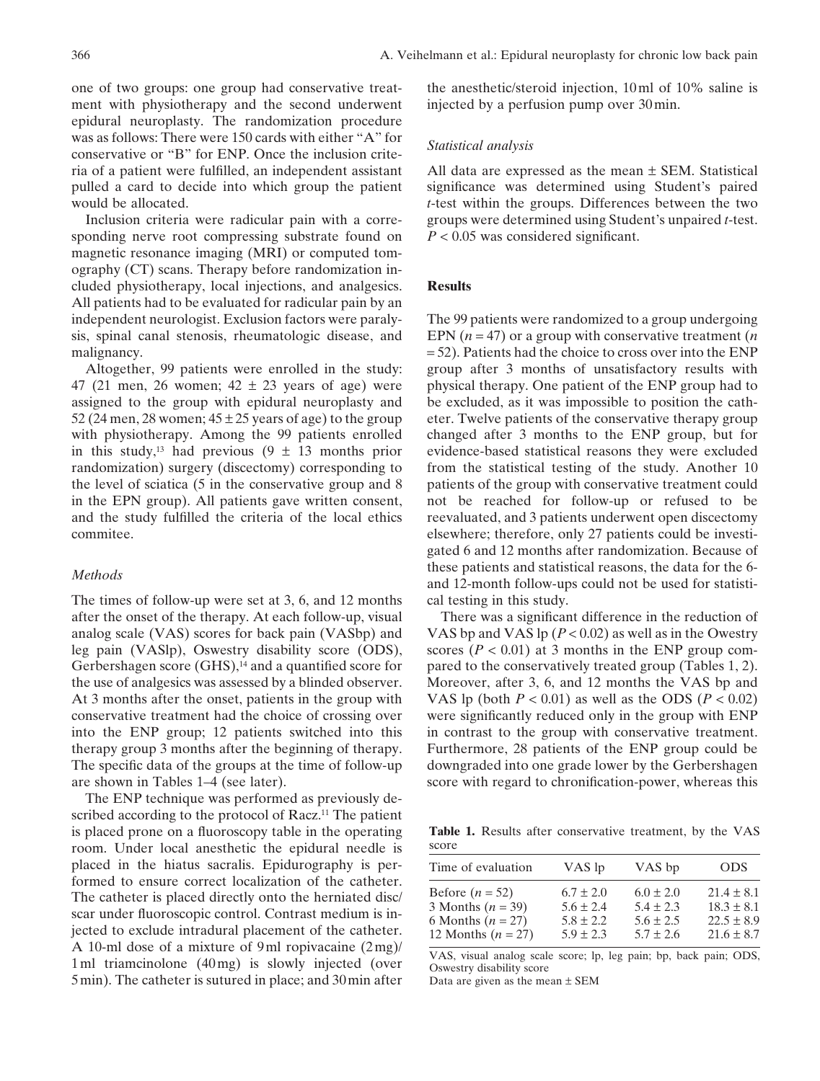one of two groups: one group had conservative treatment with physiotherapy and the second underwent epidural neuroplasty. The randomization procedure was as follows: There were 150 cards with either "A" for conservative or "B" for ENP. Once the inclusion criteria of a patient were fulfilled, an independent assistant pulled a card to decide into which group the patient would be allocated.

Inclusion criteria were radicular pain with a corresponding nerve root compressing substrate found on magnetic resonance imaging (MRI) or computed tomography (CT) scans. Therapy before randomization included physiotherapy, local injections, and analgesics. All patients had to be evaluated for radicular pain by an independent neurologist. Exclusion factors were paralysis, spinal canal stenosis, rheumatologic disease, and malignancy.

Altogether, 99 patients were enrolled in the study: 47 (21 men, 26 women;  $42 \pm 23$  years of age) were assigned to the group with epidural neuroplasty and 52 (24 men, 28 women;  $45 \pm 25$  years of age) to the group with physiotherapy. Among the 99 patients enrolled in this study,<sup>13</sup> had previous  $(9 \pm 13$  months prior randomization) surgery (discectomy) corresponding to the level of sciatica (5 in the conservative group and 8 in the EPN group). All patients gave written consent, and the study fulfilled the criteria of the local ethics commitee.

#### *Methods*

The times of follow-up were set at 3, 6, and 12 months after the onset of the therapy. At each follow-up, visual analog scale (VAS) scores for back pain (VASbp) and leg pain (VASlp), Oswestry disability score (ODS), Gerbershagen score (GHS),<sup>14</sup> and a quantified score for the use of analgesics was assessed by a blinded observer. At 3 months after the onset, patients in the group with conservative treatment had the choice of crossing over into the ENP group; 12 patients switched into this therapy group 3 months after the beginning of therapy. The specific data of the groups at the time of follow-up are shown in Tables 1–4 (see later).

The ENP technique was performed as previously described according to the protocol of Racz.<sup>11</sup> The patient is placed prone on a fluoroscopy table in the operating room. Under local anesthetic the epidural needle is placed in the hiatus sacralis. Epidurography is performed to ensure correct localization of the catheter. The catheter is placed directly onto the herniated disc/ scar under fluoroscopic control. Contrast medium is injected to exclude intradural placement of the catheter. A 10-ml dose of a mixture of 9 ml ropivacaine (2mg)/ 1 ml triamcinolone (40mg) is slowly injected (over 5 min). The catheter is sutured in place; and 30min after the anesthetic/steroid injection, 10 ml of 10% saline is injected by a perfusion pump over 30 min.

### *Statistical analysis*

All data are expressed as the mean  $\pm$  SEM. Statistical significance was determined using Student's paired *t*-test within the groups. Differences between the two groups were determined using Student's unpaired *t*-test. *P* < 0.05 was considered significant.

## **Results**

The 99 patients were randomized to a group undergoing EPN (*n* = 47) or a group with conservative treatment (*n* = 52). Patients had the choice to cross over into the ENP group after 3 months of unsatisfactory results with physical therapy. One patient of the ENP group had to be excluded, as it was impossible to position the catheter. Twelve patients of the conservative therapy group changed after 3 months to the ENP group, but for evidence-based statistical reasons they were excluded from the statistical testing of the study. Another 10 patients of the group with conservative treatment could not be reached for follow-up or refused to be reevaluated, and 3 patients underwent open discectomy elsewhere; therefore, only 27 patients could be investigated 6 and 12 months after randomization. Because of these patients and statistical reasons, the data for the 6 and 12-month follow-ups could not be used for statistical testing in this study.

There was a significant difference in the reduction of VAS bp and VAS lp (*P* < 0.02) as well as in the Owestry scores  $(P < 0.01)$  at 3 months in the ENP group compared to the conservatively treated group (Tables 1, 2). Moreover, after 3, 6, and 12 months the VAS bp and VAS lp (both  $P < 0.01$ ) as well as the ODS ( $P < 0.02$ ) were significantly reduced only in the group with ENP in contrast to the group with conservative treatment. Furthermore, 28 patients of the ENP group could be downgraded into one grade lower by the Gerbershagen score with regard to chronification-power, whereas this

**Table 1.** Results after conservative treatment, by the VAS score

|                                                                                         | VAS lp                                                           |                                                                  |                                                                      |
|-----------------------------------------------------------------------------------------|------------------------------------------------------------------|------------------------------------------------------------------|----------------------------------------------------------------------|
| Time of evaluation                                                                      |                                                                  | VAS bp                                                           | <b>ODS</b>                                                           |
| Before $(n = 52)$<br>3 Months $(n = 39)$<br>6 Months $(n = 27)$<br>12 Months $(n = 27)$ | $6.7 \pm 2.0$<br>$5.6 \pm 2.4$<br>$5.8 \pm 2.2$<br>$5.9 \pm 2.3$ | $6.0 \pm 2.0$<br>$5.4 \pm 2.3$<br>$5.6 \pm 2.5$<br>$5.7 \pm 2.6$ | $21.4 \pm 8.1$<br>$18.3 \pm 8.1$<br>$22.5 \pm 8.9$<br>$21.6 \pm 8.7$ |

VAS, visual analog scale score; lp, leg pain; bp, back pain; ODS, Oswestry disability score

Data are given as the mean  $\pm$  SEM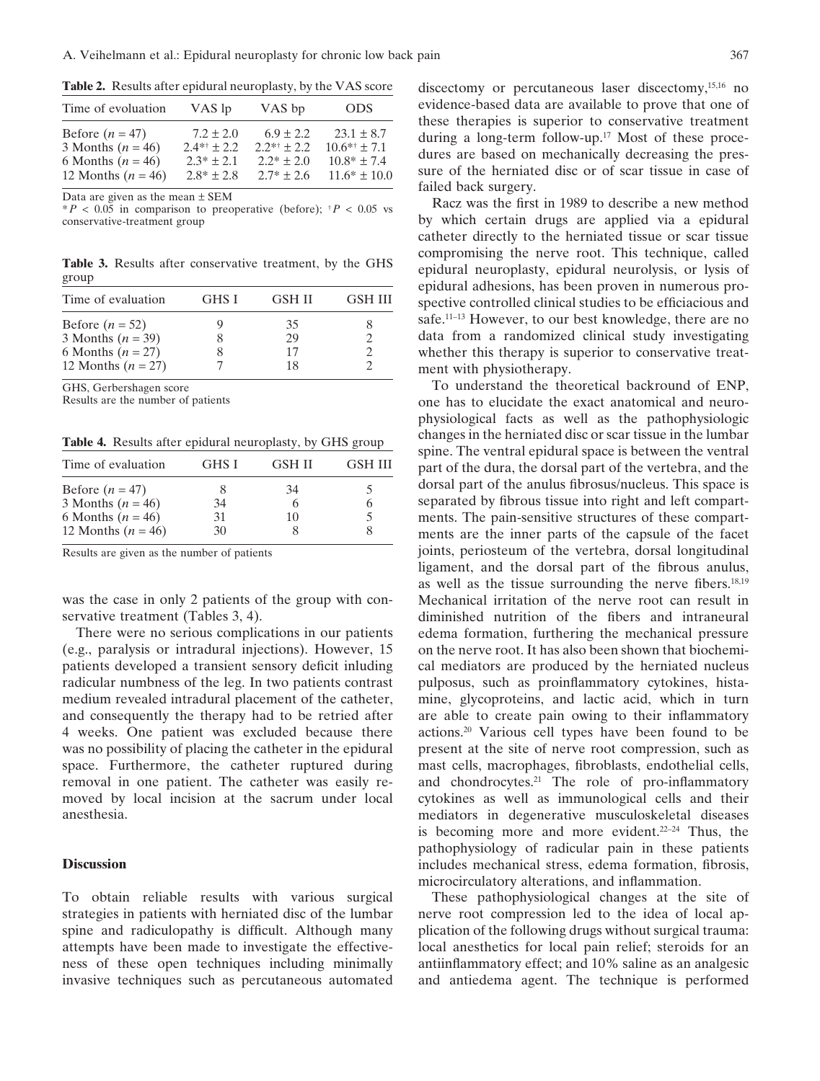**Table 2.** Results after epidural neuroplasty, by the VAS score

| Time of evoluation    | VAS lp         | VAS bp         | ODS.             |
|-----------------------|----------------|----------------|------------------|
| Before $(n = 47)$     | $7.2 \pm 2.0$  | $6.9 \pm 2.2$  | $23.1 \pm 8.7$   |
| 3 Months ( $n = 46$ ) | $2.4**+2.2$    | $2.2** + 2.2$  | $10.6** + 7.1$   |
| 6 Months ( $n = 46$ ) | $2.3* + 2.1$   | $2.2* + 2.0$   | $10.8* \pm 7.4$  |
| 12 Months $(n = 46)$  | $2.8* \pm 2.8$ | $2.7* \pm 2.6$ | $11.6* \pm 10.0$ |

Data are given as the mean ± SEM

 $*P < 0.05$  in comparison to preoperative (before);  $*P < 0.05$  vs conservative-treatment group

**Table 3.** Results after conservative treatment, by the GHS group

| Time of evaluation   | GHS I | <b>GSH II</b> | <b>GSH III</b> |
|----------------------|-------|---------------|----------------|
| Before $(n = 52)$    |       | 35            |                |
| 3 Months $(n = 39)$  |       | 29            |                |
| 6 Months $(n = 27)$  |       | 17            |                |
| 12 Months $(n = 27)$ |       | 18            |                |

GHS, Gerbershagen score

Results are the number of patients

**Table 4.** Results after epidural neuroplasty, by GHS group

| GHS I | GSH II | <b>GSH III</b> |
|-------|--------|----------------|
|       | 34     |                |
| 34    |        |                |
| 31    | 10     |                |
| 30    |        |                |
|       |        |                |

Results are given as the number of patients

was the case in only 2 patients of the group with conservative treatment (Tables 3, 4).

There were no serious complications in our patients (e.g., paralysis or intradural injections). However, 15 patients developed a transient sensory deficit inluding radicular numbness of the leg. In two patients contrast medium revealed intradural placement of the catheter, and consequently the therapy had to be retried after 4 weeks. One patient was excluded because there was no possibility of placing the catheter in the epidural space. Furthermore, the catheter ruptured during removal in one patient. The catheter was easily removed by local incision at the sacrum under local anesthesia.

#### **Discussion**

To obtain reliable results with various surgical strategies in patients with herniated disc of the lumbar spine and radiculopathy is difficult. Although many attempts have been made to investigate the effectiveness of these open techniques including minimally invasive techniques such as percutaneous automated discectomy or percutaneous laser discectomy,<sup>15,16</sup> no evidence-based data are available to prove that one of these therapies is superior to conservative treatment during a long-term follow-up.17 Most of these procedures are based on mechanically decreasing the pressure of the herniated disc or of scar tissue in case of failed back surgery.

Racz was the first in 1989 to describe a new method by which certain drugs are applied via a epidural catheter directly to the herniated tissue or scar tissue compromising the nerve root. This technique, called epidural neuroplasty, epidural neurolysis, or lysis of epidural adhesions, has been proven in numerous prospective controlled clinical studies to be efficiacious and safe.11–13 However, to our best knowledge, there are no data from a randomized clinical study investigating whether this therapy is superior to conservative treatment with physiotherapy.

To understand the theoretical backround of ENP, one has to elucidate the exact anatomical and neurophysiological facts as well as the pathophysiologic changes in the herniated disc or scar tissue in the lumbar spine. The ventral epidural space is between the ventral part of the dura, the dorsal part of the vertebra, and the dorsal part of the anulus fibrosus/nucleus. This space is separated by fibrous tissue into right and left compartments. The pain-sensitive structures of these compartments are the inner parts of the capsule of the facet joints, periosteum of the vertebra, dorsal longitudinal ligament, and the dorsal part of the fibrous anulus, as well as the tissue surrounding the nerve fibers.18,19 Mechanical irritation of the nerve root can result in diminished nutrition of the fibers and intraneural edema formation, furthering the mechanical pressure on the nerve root. It has also been shown that biochemical mediators are produced by the herniated nucleus pulposus, such as proinflammatory cytokines, histamine, glycoproteins, and lactic acid, which in turn are able to create pain owing to their inflammatory actions.20 Various cell types have been found to be present at the site of nerve root compression, such as mast cells, macrophages, fibroblasts, endothelial cells, and chondrocytes.<sup>21</sup> The role of pro-inflammatory cytokines as well as immunological cells and their mediators in degenerative musculoskeletal diseases is becoming more and more evident.22–24 Thus, the pathophysiology of radicular pain in these patients includes mechanical stress, edema formation, fibrosis, microcirculatory alterations, and inflammation.

These pathophysiological changes at the site of nerve root compression led to the idea of local application of the following drugs without surgical trauma: local anesthetics for local pain relief; steroids for an antiinflammatory effect; and 10% saline as an analgesic and antiedema agent. The technique is performed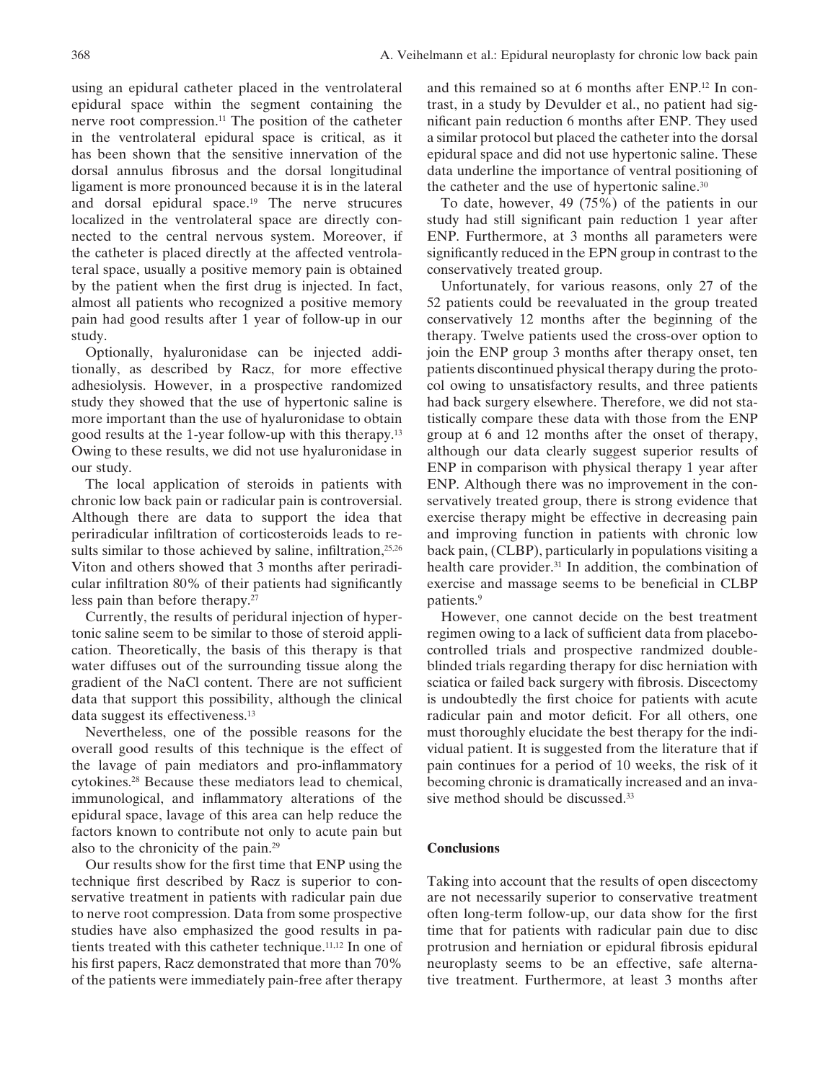using an epidural catheter placed in the ventrolateral epidural space within the segment containing the nerve root compression.11 The position of the catheter in the ventrolateral epidural space is critical, as it has been shown that the sensitive innervation of the dorsal annulus fibrosus and the dorsal longitudinal ligament is more pronounced because it is in the lateral and dorsal epidural space.19 The nerve strucures localized in the ventrolateral space are directly connected to the central nervous system. Moreover, if the catheter is placed directly at the affected ventrolateral space, usually a positive memory pain is obtained by the patient when the first drug is injected. In fact, almost all patients who recognized a positive memory pain had good results after 1 year of follow-up in our study.

Optionally, hyaluronidase can be injected additionally, as described by Racz, for more effective adhesiolysis. However, in a prospective randomized study they showed that the use of hypertonic saline is more important than the use of hyaluronidase to obtain good results at the 1-year follow-up with this therapy.13 Owing to these results, we did not use hyaluronidase in our study.

The local application of steroids in patients with chronic low back pain or radicular pain is controversial. Although there are data to support the idea that periradicular infiltration of corticosteroids leads to results similar to those achieved by saline, infiltration,<sup>25,26</sup> Viton and others showed that 3 months after periradicular infiltration 80% of their patients had significantly less pain than before therapy.27

Currently, the results of peridural injection of hypertonic saline seem to be similar to those of steroid application. Theoretically, the basis of this therapy is that water diffuses out of the surrounding tissue along the gradient of the NaCl content. There are not sufficient data that support this possibility, although the clinical data suggest its effectiveness.13

Nevertheless, one of the possible reasons for the overall good results of this technique is the effect of the lavage of pain mediators and pro-inflammatory cytokines.28 Because these mediators lead to chemical, immunological, and inflammatory alterations of the epidural space, lavage of this area can help reduce the factors known to contribute not only to acute pain but also to the chronicity of the pain.29

Our results show for the first time that ENP using the technique first described by Racz is superior to conservative treatment in patients with radicular pain due to nerve root compression. Data from some prospective studies have also emphasized the good results in patients treated with this catheter technique.11,12 In one of his first papers, Racz demonstrated that more than 70% of the patients were immediately pain-free after therapy and this remained so at 6 months after ENP.12 In contrast, in a study by Devulder et al., no patient had significant pain reduction 6 months after ENP. They used a similar protocol but placed the catheter into the dorsal epidural space and did not use hypertonic saline. These data underline the importance of ventral positioning of the catheter and the use of hypertonic saline.<sup>30</sup>

To date, however, 49 (75%) of the patients in our study had still significant pain reduction 1 year after ENP. Furthermore, at 3 months all parameters were significantly reduced in the EPN group in contrast to the conservatively treated group.

Unfortunately, for various reasons, only 27 of the 52 patients could be reevaluated in the group treated conservatively 12 months after the beginning of the therapy. Twelve patients used the cross-over option to join the ENP group 3 months after therapy onset, ten patients discontinued physical therapy during the protocol owing to unsatisfactory results, and three patients had back surgery elsewhere. Therefore, we did not statistically compare these data with those from the ENP group at 6 and 12 months after the onset of therapy, although our data clearly suggest superior results of ENP in comparison with physical therapy 1 year after ENP. Although there was no improvement in the conservatively treated group, there is strong evidence that exercise therapy might be effective in decreasing pain and improving function in patients with chronic low back pain, (CLBP), particularly in populations visiting a health care provider.<sup>31</sup> In addition, the combination of exercise and massage seems to be beneficial in CLBP patients.9

However, one cannot decide on the best treatment regimen owing to a lack of sufficient data from placebocontrolled trials and prospective randmized doubleblinded trials regarding therapy for disc herniation with sciatica or failed back surgery with fibrosis. Discectomy is undoubtedly the first choice for patients with acute radicular pain and motor deficit. For all others, one must thoroughly elucidate the best therapy for the individual patient. It is suggested from the literature that if pain continues for a period of 10 weeks, the risk of it becoming chronic is dramatically increased and an invasive method should be discussed.<sup>33</sup>

# **Conclusions**

Taking into account that the results of open discectomy are not necessarily superior to conservative treatment often long-term follow-up, our data show for the first time that for patients with radicular pain due to disc protrusion and herniation or epidural fibrosis epidural neuroplasty seems to be an effective, safe alternative treatment. Furthermore, at least 3 months after